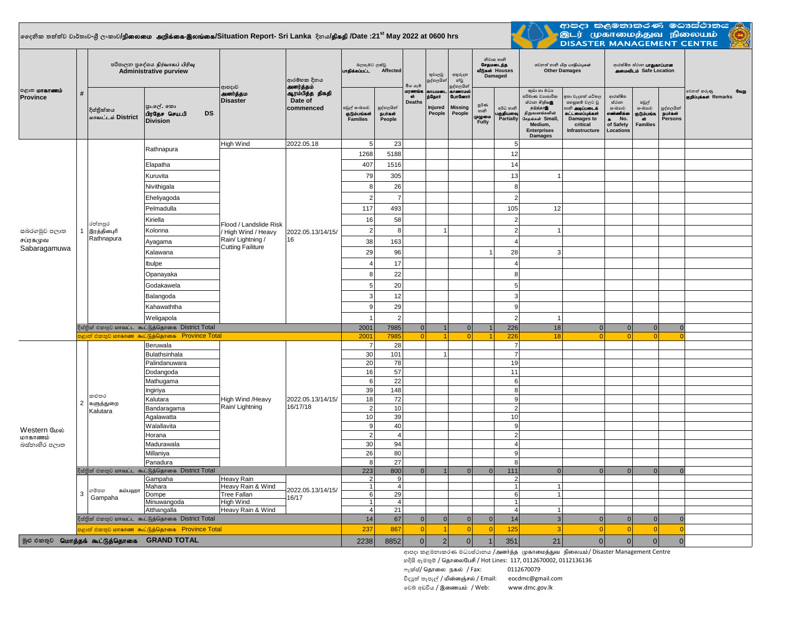## $|$ ලෛනික තත්ත්ව වාර්තාව-ශී ලංකාව**/நிலைமை அறிக்கை-இலங்கை/Situation Report- Sri Lanka දිනය<b>/திகதி /Date :21<sup>st</sup> May 2022 at 0600 hrs**



**ආපදා කලමනාකරණ මධාස්ථානය** .<br>இடர் முகாமைத்துவ நிலையம் **DISASTER MANAGEMENT CENTRE** 

| <b>பகாணம்</b><br>Province                 | $\#$                      |                                                                                                                 | පරිපාලන පුදේශය நிர்வாகப் பிரிவு<br><b>Administrative purview</b> | ආපදාව<br>அனர்த்தம<br><b>Disaster</b>                                                                     | ආරම්භක දිනය<br>அனர்த்தம்<br>ஆரம்பித்த திகதி<br>Date of<br>commenced | බලපෑමට ලක්වු<br>பாதிக்கப்பட்ட<br>Affected       |                                          | මිය යාලී                      | තුවාලවු<br>පුද්ගලයින                    | අතුරුදහ<br>න්වූ<br>පුද්ගලයින්                          | නිවාස හානි<br>சேதமடைந்த<br>வீடுகள் Houses<br>Damaged |                                     | லிகை கிரி பாதிப்புகள்<br><b>Other Damages</b>                                                                                                     |                                                                                                                                 | ආරක්ෂිත ස්ථාන <b>பாதுகாப்பான</b><br><b>AMOU Safe Location</b>                        |                                                  |                                        |                                                |
|-------------------------------------------|---------------------------|-----------------------------------------------------------------------------------------------------------------|------------------------------------------------------------------|----------------------------------------------------------------------------------------------------------|---------------------------------------------------------------------|-------------------------------------------------|------------------------------------------|-------------------------------|-----------------------------------------|--------------------------------------------------------|------------------------------------------------------|-------------------------------------|---------------------------------------------------------------------------------------------------------------------------------------------------|---------------------------------------------------------------------------------------------------------------------------------|--------------------------------------------------------------------------------------|--------------------------------------------------|----------------------------------------|------------------------------------------------|
|                                           |                           | දිස්තික්කය<br>மாவட்டம் District                                                                                 | පුා.ලේ. කො<br>பிரதேச செய.பி<br><b>DS</b><br><b>Division</b>      |                                                                                                          |                                                                     | පවුල් සංඛාගව<br>குடும்பங்கள்<br><b>Families</b> | පුද්ගලයින්<br><b>Bure</b> s of<br>People | மரணங்க<br>ள்<br><b>Deaths</b> | uru unan<br>ந்தோர்<br>Injured<br>People | காணாமல்<br><b>GunGermi</b><br><b>Missina</b><br>People | ల్లరి లా<br>හානි<br>முழுமை<br>Fully                  | අර්ධ හානි<br>பகுதியளவு<br>Partially | කුඩා හා මධා<br>පරිමාණ වාාපාරික<br>ස්ථාන හිறியஇ<br>நடுத்தரஇ<br>நிறுவனங்களின்<br>சேதங்கள் Small,<br>Medium,<br><b>Enterprises</b><br><b>Damages</b> | කා වැදගත් යටිතල<br>පහසුකම් වලට වූ<br>ානි <b>அடிப்படைக்</b><br>கட்டமைப்பக்கள்<br><b>Damages to</b><br>critical<br>Infrastructure | ආරක්ෂිත<br>ස්ථාන<br>සංඛාගව<br>எண்ணிக்க<br>No.<br>$\bullet$<br>of Safety<br>Locations | පවුල්<br>සංඛාගව<br>தடும்பங்க<br>ີດπັ<br>Families | පුද්ගලයින්<br><b>Burash</b><br>Persons | වෙනත් කරුණු<br>$G$ oim<br>ஞறிப்புக்கள் Remarks |
| සබරගමුව පලාත<br>சப்ரகமுவ<br>Sabaragamuwa  |                           | රත්නපුර<br>இரத்தினபுரி<br>Rathnapura                                                                            | Rathnapura                                                       | High Wind<br>Flood / Landslide Risk<br>High Wind / Heavy<br>Rain/Lightning /<br><b>Cutting Failiture</b> | 2022.05.18<br>2022.05.13/14/15/<br>16                               | 5                                               | 23                                       |                               |                                         |                                                        |                                                      | 5                                   |                                                                                                                                                   |                                                                                                                                 |                                                                                      |                                                  |                                        |                                                |
|                                           |                           |                                                                                                                 |                                                                  |                                                                                                          |                                                                     | 1268                                            | 5188                                     |                               |                                         |                                                        |                                                      | 12                                  |                                                                                                                                                   |                                                                                                                                 |                                                                                      |                                                  |                                        |                                                |
|                                           |                           |                                                                                                                 | Elapatha                                                         |                                                                                                          |                                                                     | 407                                             | 1516                                     |                               |                                         |                                                        |                                                      | 14                                  |                                                                                                                                                   |                                                                                                                                 |                                                                                      |                                                  |                                        |                                                |
|                                           |                           |                                                                                                                 | Kuruvita                                                         |                                                                                                          |                                                                     | 79                                              | 305                                      |                               |                                         |                                                        |                                                      | 13                                  |                                                                                                                                                   |                                                                                                                                 |                                                                                      |                                                  |                                        |                                                |
|                                           | 1                         |                                                                                                                 | Nivithigala                                                      |                                                                                                          |                                                                     | -8                                              | 26                                       |                               |                                         |                                                        |                                                      | 8                                   |                                                                                                                                                   |                                                                                                                                 |                                                                                      |                                                  |                                        |                                                |
|                                           |                           |                                                                                                                 | Eheliyagoda                                                      |                                                                                                          |                                                                     | $\overline{2}$                                  | $\overline{7}$                           |                               |                                         |                                                        |                                                      | $\overline{2}$                      |                                                                                                                                                   |                                                                                                                                 |                                                                                      |                                                  |                                        |                                                |
|                                           |                           |                                                                                                                 | Pelmadulla                                                       |                                                                                                          |                                                                     | 117                                             | 493                                      |                               |                                         |                                                        |                                                      | 105                                 | 12                                                                                                                                                |                                                                                                                                 |                                                                                      |                                                  |                                        |                                                |
|                                           |                           |                                                                                                                 | Kiriella                                                         |                                                                                                          |                                                                     | 16                                              | 58                                       |                               |                                         |                                                        |                                                      | $\overline{2}$                      |                                                                                                                                                   |                                                                                                                                 |                                                                                      |                                                  |                                        |                                                |
|                                           |                           |                                                                                                                 | Kolonna                                                          |                                                                                                          |                                                                     | $\overline{2}$                                  | 8                                        |                               | $\overline{1}$                          |                                                        |                                                      | $\overline{2}$                      |                                                                                                                                                   |                                                                                                                                 |                                                                                      |                                                  |                                        |                                                |
|                                           |                           |                                                                                                                 | Ayagama                                                          |                                                                                                          |                                                                     | 38                                              | 163                                      |                               |                                         |                                                        |                                                      | $\overline{4}$                      |                                                                                                                                                   |                                                                                                                                 |                                                                                      |                                                  |                                        |                                                |
|                                           |                           |                                                                                                                 | Kalawana                                                         |                                                                                                          |                                                                     | 29                                              | 96                                       |                               |                                         |                                                        |                                                      | 28                                  | 3                                                                                                                                                 |                                                                                                                                 |                                                                                      |                                                  |                                        |                                                |
|                                           |                           |                                                                                                                 | Ibulpe                                                           |                                                                                                          |                                                                     | $\overline{4}$                                  | 17                                       |                               |                                         |                                                        |                                                      | $\overline{4}$                      |                                                                                                                                                   |                                                                                                                                 |                                                                                      |                                                  |                                        |                                                |
|                                           |                           |                                                                                                                 | Opanayaka                                                        |                                                                                                          |                                                                     | 8                                               | 22                                       |                               |                                         |                                                        |                                                      | $\bf 8$                             |                                                                                                                                                   |                                                                                                                                 |                                                                                      |                                                  |                                        |                                                |
|                                           |                           |                                                                                                                 | Godakawela                                                       |                                                                                                          |                                                                     | 5                                               | 20                                       |                               |                                         |                                                        |                                                      | 5                                   |                                                                                                                                                   |                                                                                                                                 |                                                                                      |                                                  |                                        |                                                |
|                                           |                           |                                                                                                                 |                                                                  |                                                                                                          |                                                                     | 3                                               | 12                                       |                               |                                         |                                                        |                                                      | 3                                   |                                                                                                                                                   |                                                                                                                                 |                                                                                      |                                                  |                                        |                                                |
|                                           |                           |                                                                                                                 | Balangoda                                                        |                                                                                                          |                                                                     |                                                 |                                          |                               |                                         |                                                        |                                                      |                                     |                                                                                                                                                   |                                                                                                                                 |                                                                                      |                                                  |                                        |                                                |
|                                           |                           |                                                                                                                 | Kahawaththa                                                      |                                                                                                          |                                                                     | 9                                               | 29                                       |                               |                                         |                                                        |                                                      | 9                                   |                                                                                                                                                   |                                                                                                                                 |                                                                                      |                                                  |                                        |                                                |
|                                           |                           |                                                                                                                 | Weligapola                                                       |                                                                                                          |                                                                     |                                                 | $\overline{2}$                           |                               |                                         |                                                        |                                                      | $\overline{2}$                      |                                                                                                                                                   |                                                                                                                                 |                                                                                      |                                                  |                                        |                                                |
|                                           |                           | දිස්තික් එකතුව மாவட்ட கூட்டுத்தொகை District Total<br><mark>පළාත් එකතුව மாகாண கூட்டுத்தொகை Province Total</mark> | 2001<br>2001                                                     | 7985<br>7985                                                                                             | 0 <br>ol                                                            | $\mathbf{1}$<br>$\blacktriangleleft$            | 0 <br>n                                  | $\blacktriangleleft$          | 226<br>226                              | 18<br>18                                               | 0 <br>$\Omega$                                       | $\overline{0}$<br>$\Omega$          | $\mathbf{0}$<br>$\Omega$                                                                                                                          | $\overline{0}$<br>$\Omega$                                                                                                      |                                                                                      |                                                  |                                        |                                                |
|                                           |                           |                                                                                                                 | Beruwala                                                         |                                                                                                          |                                                                     | $\overline{7}$                                  | 28                                       |                               |                                         |                                                        |                                                      | $\overline{7}$                      |                                                                                                                                                   |                                                                                                                                 |                                                                                      |                                                  |                                        |                                                |
| Western மேல்<br>மாகாணம்<br>බස්නාහිර පලාත  |                           | කළුතර                                                                                                           | Bulathsinhala                                                    | High Wind /Heavy<br>Rain/ Lightning                                                                      |                                                                     | 30                                              | 101                                      |                               | $\overline{1}$                          |                                                        |                                                      | $\overline{7}$                      |                                                                                                                                                   |                                                                                                                                 |                                                                                      |                                                  |                                        |                                                |
|                                           |                           |                                                                                                                 | Palindanuwara                                                    |                                                                                                          |                                                                     | 20                                              | 78                                       |                               |                                         |                                                        |                                                      | 19                                  |                                                                                                                                                   |                                                                                                                                 |                                                                                      |                                                  |                                        |                                                |
|                                           |                           |                                                                                                                 | Dodangoda                                                        |                                                                                                          |                                                                     | 16                                              | 57                                       |                               |                                         |                                                        |                                                      | 11                                  |                                                                                                                                                   |                                                                                                                                 |                                                                                      |                                                  |                                        |                                                |
|                                           |                           |                                                                                                                 | Mathugama                                                        |                                                                                                          |                                                                     | 6                                               | 22                                       |                               |                                         |                                                        |                                                      | 6                                   |                                                                                                                                                   |                                                                                                                                 |                                                                                      |                                                  |                                        |                                                |
|                                           |                           |                                                                                                                 | Ingiriya                                                         |                                                                                                          |                                                                     | 39                                              | 148                                      |                               |                                         |                                                        |                                                      | 8                                   |                                                                                                                                                   |                                                                                                                                 |                                                                                      |                                                  |                                        |                                                |
|                                           | $\overline{2}$            | களுத்துறை                                                                                                       | Kalutara                                                         |                                                                                                          | 2022.05.13/14/15/<br>16/17/18                                       | 18                                              | 72                                       |                               |                                         |                                                        |                                                      | 9                                   |                                                                                                                                                   |                                                                                                                                 |                                                                                      |                                                  |                                        |                                                |
|                                           |                           | Kalutara                                                                                                        | Bandaragama                                                      |                                                                                                          |                                                                     | $\overline{2}$<br>10                            | 10<br>39                                 |                               |                                         |                                                        |                                                      | $\overline{2}$<br>10                |                                                                                                                                                   |                                                                                                                                 |                                                                                      |                                                  |                                        |                                                |
|                                           |                           |                                                                                                                 | Agalawatta<br>Walallavita                                        |                                                                                                          |                                                                     | 9                                               | 40                                       |                               |                                         |                                                        |                                                      | $\boldsymbol{9}$                    |                                                                                                                                                   |                                                                                                                                 |                                                                                      |                                                  |                                        |                                                |
|                                           |                           |                                                                                                                 | Horana                                                           |                                                                                                          |                                                                     | $\overline{2}$                                  | $\overline{4}$                           |                               |                                         |                                                        |                                                      | $\overline{2}$                      |                                                                                                                                                   |                                                                                                                                 |                                                                                      |                                                  |                                        |                                                |
|                                           |                           |                                                                                                                 | Madurawala                                                       |                                                                                                          |                                                                     | 30                                              | 94                                       |                               |                                         |                                                        |                                                      | $\overline{4}$                      |                                                                                                                                                   |                                                                                                                                 |                                                                                      |                                                  |                                        |                                                |
|                                           |                           |                                                                                                                 | Millaniya                                                        |                                                                                                          |                                                                     | 26                                              | 80                                       |                               |                                         |                                                        |                                                      | 9                                   |                                                                                                                                                   |                                                                                                                                 |                                                                                      |                                                  |                                        |                                                |
|                                           |                           |                                                                                                                 | Panadura                                                         |                                                                                                          |                                                                     | 8                                               | 27                                       |                               |                                         |                                                        |                                                      | 8                                   |                                                                                                                                                   |                                                                                                                                 |                                                                                      |                                                  |                                        |                                                |
|                                           |                           | දිස්තික් එකතුව மாவட்ட கூட்டுத்தொகை District Total                                                               |                                                                  |                                                                                                          |                                                                     |                                                 | 800                                      | $\Omega$                      |                                         | $\Omega$                                               | $\Omega$                                             | 111                                 | $\Omega$                                                                                                                                          | $\Omega$                                                                                                                        | $\Omega$                                                                             | $\Omega$                                         | $\Omega$                               |                                                |
|                                           | $\ensuremath{\mathsf{3}}$ | ගම්පහ<br>கம்பஹா<br>Gampaha                                                                                      | Gampaha<br>Mahara                                                | Heavy Rain<br>Heavy Rain & Wind<br>Tree Fallan<br>High Wind                                              | 2022.05.13/14/15/<br>16/17                                          | $\overline{2}$<br>$\overline{1}$                | -91<br>$\overline{4}$                    |                               |                                         |                                                        |                                                      | $\overline{2}$<br>$\overline{1}$    | 1                                                                                                                                                 |                                                                                                                                 |                                                                                      |                                                  |                                        |                                                |
|                                           |                           |                                                                                                                 | Dompe                                                            |                                                                                                          |                                                                     | 6                                               | 29                                       |                               |                                         |                                                        |                                                      | 6                                   | 1                                                                                                                                                 |                                                                                                                                 |                                                                                      |                                                  |                                        |                                                |
|                                           |                           |                                                                                                                 | Minuwangoda                                                      |                                                                                                          |                                                                     | $\vert$ 1                                       | $\overline{4}$                           |                               |                                         |                                                        |                                                      | $\overline{1}$                      |                                                                                                                                                   |                                                                                                                                 |                                                                                      |                                                  |                                        |                                                |
|                                           |                           |                                                                                                                 | Atthangalla                                                      | Heavy Rain & Wind                                                                                        |                                                                     | $\overline{4}$                                  | 21                                       |                               |                                         |                                                        |                                                      | $\overline{4}$                      | 1                                                                                                                                                 |                                                                                                                                 |                                                                                      |                                                  |                                        |                                                |
|                                           |                           | දිස්තික් එකතුව மாவட்ட கூட்டுத்தொகை District Total                                                               | 14                                                               | 67                                                                                                       | 0                                                                   | 0                                               | 0                                        | 0                             | 14                                      | $\overline{3}$                                         | $\Omega$                                             | $\mathbf{0}$                        | $\mathbf{0}$                                                                                                                                      | $\Omega$                                                                                                                        |                                                                                      |                                                  |                                        |                                                |
|                                           |                           |                                                                                                                 | <mark>் அனி மீனை கூட்டுத்தொகை Province Total</mark>              |                                                                                                          |                                                                     | 237                                             | 867                                      | $\Omega$                      |                                         | $\Omega$                                               | $\Omega$                                             | 125                                 |                                                                                                                                                   | $\Omega$                                                                                                                        | $\Omega$                                                                             | $\Omega$                                         | $\Omega$                               |                                                |
| இல் ல்லை மொத்தக் கூட்டுத்தொகை GRAND TOTAL | 2238                      | 8852                                                                                                            | 0                                                                | 2 <sup>1</sup>                                                                                           | $\mathbf{0}$                                                        | $\mathbf 1$                                     | 351                                      | 21                            | $\Omega$                                | $\overline{0}$                                         | $\Omega$                                             | $\Omega$                            |                                                                                                                                                   |                                                                                                                                 |                                                                                      |                                                  |                                        |                                                |

ආපදා කළමනාකරණ මධාසේථානය /அனர்த்த முகாமைத்துவ நிலையம்/ Disaster Management Centre

හදිසි ඇමතුම් / ශිதாலைபேசி / Hot Lines: 117, 0112670002, 0112136136 ෆැක්ස්/ தொலை நகல் / Fax: 0112670079 විදු<sub>යුත් තැපැල් / மின்னஞ்சல் / Email: eocdmc@gmail.com</sub>

වෙබ් අඩවිය / இணையம் / Web: www.dmc.gov.lk